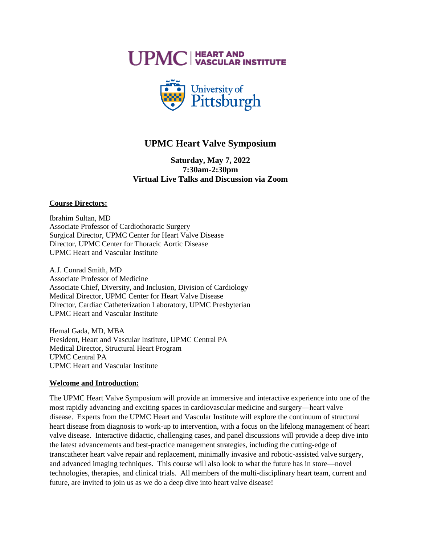**UPMC | HEART AND** 



# **UPMC Heart Valve Symposium**

**Saturday, May 7, 2022 7:30am-2:30pm Virtual Live Talks and Discussion via Zoom**

# **Course Directors:**

Ibrahim Sultan, MD Associate Professor of Cardiothoracic Surgery Surgical Director, UPMC Center for Heart Valve Disease Director, UPMC Center for Thoracic Aortic Disease UPMC Heart and Vascular Institute

A.J. Conrad Smith, MD Associate Professor of Medicine Associate Chief, Diversity, and Inclusion, Division of Cardiology Medical Director, UPMC Center for Heart Valve Disease Director, Cardiac Catheterization Laboratory, UPMC Presbyterian UPMC Heart and Vascular Institute

Hemal Gada, MD, MBA President, Heart and Vascular Institute, UPMC Central PA Medical Director, Structural Heart Program UPMC Central PA UPMC Heart and Vascular Institute

# **Welcome and Introduction:**

The UPMC Heart Valve Symposium will provide an immersive and interactive experience into one of the most rapidly advancing and exciting spaces in cardiovascular medicine and surgery—heart valve disease. Experts from the UPMC Heart and Vascular Institute will explore the continuum of structural heart disease from diagnosis to work-up to intervention, with a focus on the lifelong management of heart valve disease. Interactive didactic, challenging cases, and panel discussions will provide a deep dive into the latest advancements and best-practice management strategies, including the cutting-edge of transcatheter heart valve repair and replacement, minimally invasive and robotic-assisted valve surgery, and advanced imaging techniques. This course will also look to what the future has in store—novel technologies, therapies, and clinical trials. All members of the multi-disciplinary heart team, current and future, are invited to join us as we do a deep dive into heart valve disease!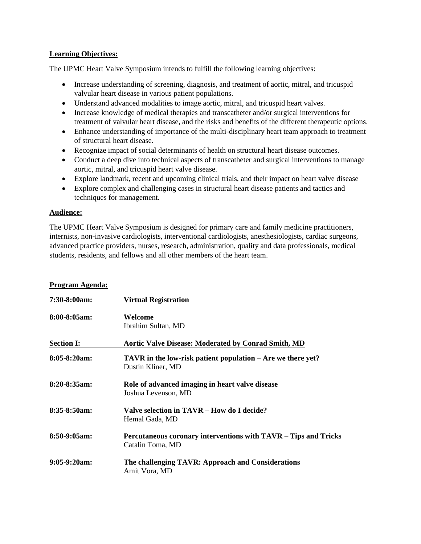# **Learning Objectives:**

The UPMC Heart Valve Symposium intends to fulfill the following learning objectives:

- Increase understanding of screening, diagnosis, and treatment of aortic, mitral, and tricuspid valvular heart disease in various patient populations.
- Understand advanced modalities to image aortic, mitral, and tricuspid heart valves.
- Increase knowledge of medical therapies and transcatheter and/or surgical interventions for treatment of valvular heart disease, and the risks and benefits of the different therapeutic options.
- Enhance understanding of importance of the multi-disciplinary heart team approach to treatment of structural heart disease.
- Recognize impact of social determinants of health on structural heart disease outcomes.
- Conduct a deep dive into technical aspects of transcatheter and surgical interventions to manage aortic, mitral, and tricuspid heart valve disease.
- Explore landmark, recent and upcoming clinical trials, and their impact on heart valve disease
- Explore complex and challenging cases in structural heart disease patients and tactics and techniques for management.

# **Audience:**

The UPMC Heart Valve Symposium is designed for primary care and family medicine practitioners, internists, non-invasive cardiologists, interventional cardiologists, anesthesiologists, cardiac surgeons, advanced practice providers, nurses, research, administration, quality and data professionals, medical students, residents, and fellows and all other members of the heart team.

# **Program Agenda:**

| $7:30-8:00am$     | <b>Virtual Registration</b>                                                         |
|-------------------|-------------------------------------------------------------------------------------|
| $8:00 - 8:05$ am: | Welcome<br>Ibrahim Sultan, MD                                                       |
| <b>Section I:</b> | <b>Aortic Valve Disease: Moderated by Conrad Smith, MD</b>                          |
| $8:05-8:20am$     | TAVR in the low-risk patient population – Are we there yet?<br>Dustin Kliner, MD    |
| $8:20-8:35am$ :   | Role of advanced imaging in heart valve disease<br>Joshua Levenson, MD              |
| $8:35-8:50am$     | Valve selection in TAVR – How do I decide?<br>Hemal Gada, MD                        |
| $8:50-9:05am$     | Percutaneous coronary interventions with TAVR – Tips and Tricks<br>Catalin Toma, MD |
| $9:05-9:20am$     | The challenging TAVR: Approach and Considerations<br>Amit Vora, MD                  |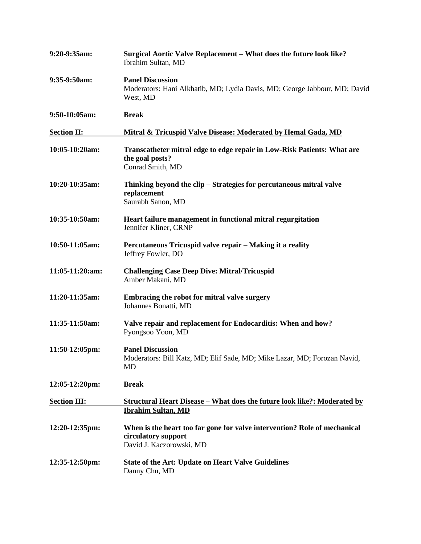| 9:20-9:35am:             | Surgical Aortic Valve Replacement - What does the future look like?<br>Ibrahim Sultan, MD                                    |
|--------------------------|------------------------------------------------------------------------------------------------------------------------------|
| 9:35-9:50am:             | <b>Panel Discussion</b><br>Moderators: Hani Alkhatib, MD; Lydia Davis, MD; George Jabbour, MD; David<br>West, MD             |
| 9:50-10:05am:            | <b>Break</b>                                                                                                                 |
| <b>Section II:</b>       | Mitral & Tricuspid Valve Disease: Moderated by Hemal Gada, MD                                                                |
| 10:05-10:20am:           | Transcatheter mitral edge to edge repair in Low-Risk Patients: What are<br>the goal posts?<br>Conrad Smith, MD               |
| 10:20-10:35am:           | Thinking beyond the clip – Strategies for percutaneous mitral valve<br>replacement<br>Saurabh Sanon, MD                      |
| 10:35-10:50am:           | Heart failure management in functional mitral regurgitation<br>Jennifer Kliner, CRNP                                         |
| 10:50-11:05am:           | Percutaneous Tricuspid valve repair - Making it a reality<br>Jeffrey Fowler, DO                                              |
| 11:05-11:20:am:          | <b>Challenging Case Deep Dive: Mitral/Tricuspid</b><br>Amber Makani, MD                                                      |
| 11:20-11:35am:           | Embracing the robot for mitral valve surgery<br>Johannes Bonatti, MD                                                         |
| 11:35-11:50am:           | Valve repair and replacement for Endocarditis: When and how?<br>Pyongsoo Yoon, MD                                            |
| 11:50-12:05pm:           | <b>Panel Discussion</b><br>Moderators: Bill Katz, MD; Elif Sade, MD; Mike Lazar, MD; Forozan Navid,<br>MD                    |
| 12:05-12:20pm:           | <b>Break</b>                                                                                                                 |
| <b>Section III:</b>      | <u><b>Structural Heart Disease - What does the future look like?: Moderated by</b></u><br><b>Ibrahim Sultan, MD</b>          |
| 12:20-12:35pm:           | When is the heart too far gone for valve intervention? Role of mechanical<br>circulatory support<br>David J. Kaczorowski, MD |
| $12:35-12:50 \text{pm}:$ | <b>State of the Art: Update on Heart Valve Guidelines</b><br>Danny Chu, MD                                                   |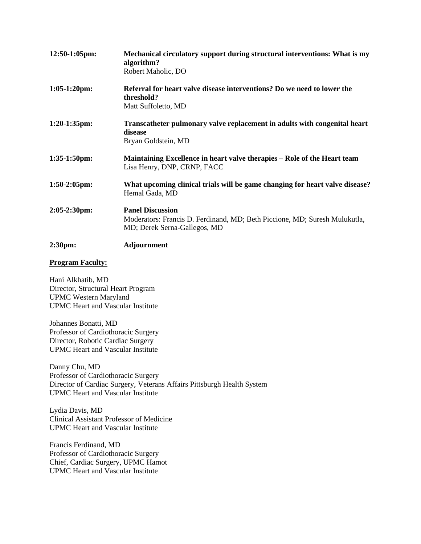| $12:50-1:05$ pm:       | Mechanical circulatory support during structural interventions: What is my<br>algorithm?                                              |
|------------------------|---------------------------------------------------------------------------------------------------------------------------------------|
|                        | Robert Maholic, DO                                                                                                                    |
| $1:05-1:20$ pm:        | Referral for heart valve disease interventions? Do we need to lower the<br>threshold?<br>Matt Suffoletto, MD                          |
| $1:20-1:35$ pm:        | Transcatheter pulmonary valve replacement in adults with congenital heart<br>disease<br>Bryan Goldstein, MD                           |
| $1:35-1:50$ pm:        | Maintaining Excellence in heart valve therapies – Role of the Heart team<br>Lisa Henry, DNP, CRNP, FACC                               |
| $1:50-2:05$ pm:        | What upcoming clinical trials will be game changing for heart valve disease?<br>Hemal Gada, MD                                        |
| $2:05-2:30 \text{pm}:$ | <b>Panel Discussion</b><br>Moderators: Francis D. Ferdinand, MD; Beth Piccione, MD; Suresh Mulukutla,<br>MD; Derek Serna-Gallegos, MD |
| 2:30pm:                | Adjournment                                                                                                                           |

# **Program Faculty:**

Hani Alkhatib, MD Director, Structural Heart Program UPMC Western Maryland UPMC Heart and Vascular Institute

Johannes Bonatti, MD Professor of Cardiothoracic Surgery Director, Robotic Cardiac Surgery UPMC Heart and Vascular Institute

Danny Chu, MD Professor of Cardiothoracic Surgery Director of Cardiac Surgery, Veterans Affairs Pittsburgh Health System UPMC Heart and Vascular Institute

Lydia Davis, MD Clinical Assistant Professor of Medicine UPMC Heart and Vascular Institute

Francis Ferdinand, MD Professor of Cardiothoracic Surgery Chief, Cardiac Surgery, UPMC Hamot UPMC Heart and Vascular Institute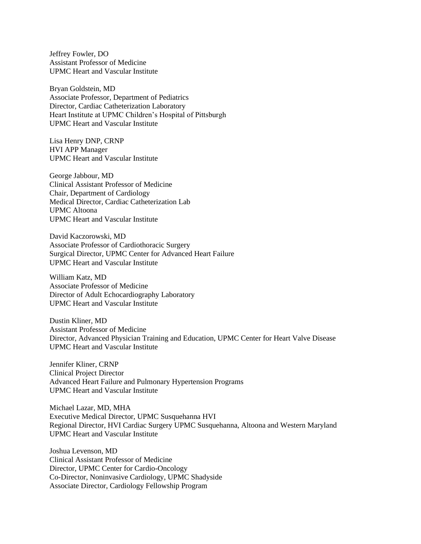Jeffrey Fowler, DO Assistant Professor of Medicine UPMC Heart and Vascular Institute

Bryan Goldstein, MD Associate Professor, Department of Pediatrics Director, Cardiac Catheterization Laboratory Heart Institute at UPMC Children's Hospital of Pittsburgh UPMC Heart and Vascular Institute

Lisa Henry DNP, CRNP HVI APP Manager UPMC Heart and Vascular Institute

George Jabbour, MD Clinical Assistant Professor of Medicine Chair, Department of Cardiology Medical Director, Cardiac Catheterization Lab UPMC Altoona UPMC Heart and Vascular Institute

David Kaczorowski, MD Associate Professor of Cardiothoracic Surgery Surgical Director, UPMC Center for Advanced Heart Failure UPMC Heart and Vascular Institute

William Katz, [MD](https://profiles.dom.pitt.edu/card/faculty_info.aspx/Katz5191) Associate Professor of Medicine Director of Adult Echocardiography Laboratory UPMC Heart and Vascular Institute

Dustin Kline[r, MD](https://profiles.dom.pitt.edu/card/faculty_info.aspx/Kliner5831) Assistant Professor of Medicine Director, Advanced Physician Training and Education, UPMC Center for Heart Valve Disease UPMC Heart and Vascular Institute

Jennifer Kliner, CRNP Clinical Project Director Advanced Heart Failure and Pulmonary Hypertension Programs UPMC Heart and Vascular Institute

Michael Lazar, MD, MHA Executive Medical Director, UPMC Susquehanna HVI Regional Director, HVI Cardiac Surgery UPMC Susquehanna, Altoona and Western Maryland UPMC Heart and Vascular Institute

Joshua Levenson, MD Clinical Assistant Professor of Medicine Director, UPMC Center for Cardio-Oncology Co-Director, Noninvasive Cardiology, UPMC Shadyside Associate Director, Cardiology Fellowship Program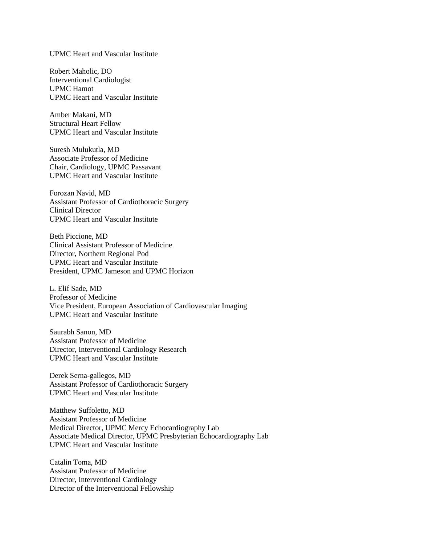#### UPMC Heart and Vascular Institute

Robert Maholic, DO Interventional Cardiologist UPMC Hamot UPMC Heart and Vascular Institute

Amber Makani, MD Structural Heart Fellow UPMC Heart and Vascular Institute

Suresh Mulukutla, [MD](https://profiles.dom.pitt.edu/card/faculty_info.aspx/Mulukutla5221) Associate Professor of Medicine Chair, Cardiology, UPMC Passavant UPMC Heart and Vascular Institute

Forozan Navid, MD Assistant Professor of Cardiothoracic Surgery Clinical Director UPMC Heart and Vascular Institute

Beth Piccione, MD Clinical Assistant Professor of Medicine Director, Northern Regional Pod UPMC Heart and Vascular Institute President, UPMC Jameson and UPMC Horizon

L. Elif Sade, MD Professor of Medicine Vice President, European Association of Cardiovascular Imaging UPMC Heart and Vascular Institute

Saurabh Sanon, MD Assistant Professor of Medicine Director, Interventional Cardiology Research UPMC Heart and Vascular Institute

Derek Serna-gallegos, MD Assistant Professor of Cardiothoracic Surgery UPMC Heart and Vascular Institute

Matthew Suffoletto, MD Assistant Professor of Medicine Medical Director, UPMC Mercy Echocardiography Lab Associate Medical Director, UPMC Presbyterian Echocardiography Lab UPMC Heart and Vascular Institute

Catalin Toma, MD Assistant Professor of Medicine Director, Interventional Cardiology Director of the Interventional Fellowship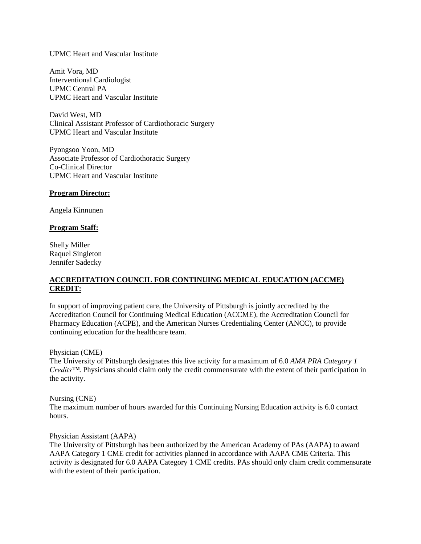#### UPMC Heart and Vascular Institute

Amit Vora, MD Interventional Cardiologist UPMC Central PA UPMC Heart and Vascular Institute

David West, MD Clinical Assistant Professor of Cardiothoracic Surgery UPMC Heart and Vascular Institute

Pyongsoo Yoon, MD Associate Professor of Cardiothoracic Surgery Co-Clinical Director UPMC Heart and Vascular Institute

#### **Program Director:**

Angela Kinnunen

#### **Program Staff:**

Shelly Miller Raquel Singleton Jennifer Sadecky

# **ACCREDITATION COUNCIL FOR CONTINUING MEDICAL EDUCATION (ACCME) CREDIT:**

In support of improving patient care, the University of Pittsburgh is jointly accredited by the Accreditation Council for Continuing Medical Education (ACCME), the Accreditation Council for Pharmacy Education (ACPE), and the American Nurses Credentialing Center (ANCC), to provide continuing education for the healthcare team.

Physician (CME)

The University of Pittsburgh designates this live activity for a maximum of 6.0 *AMA PRA Category 1 Credits™*. Physicians should claim only the credit commensurate with the extent of their participation in the activity.

Nursing (CNE)

The maximum number of hours awarded for this Continuing Nursing Education activity is 6.0 contact hours.

Physician Assistant (AAPA)

The University of Pittsburgh has been authorized by the American Academy of PAs (AAPA) to award AAPA Category 1 CME credit for activities planned in accordance with AAPA CME Criteria. This activity is designated for 6.0 AAPA Category 1 CME credits. PAs should only claim credit commensurate with the extent of their participation.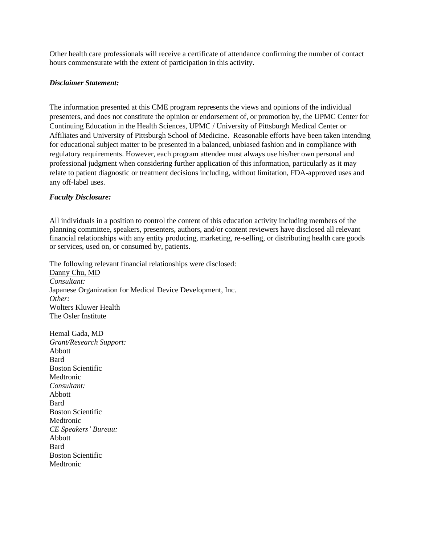Other health care professionals will receive a certificate of attendance confirming the number of contact hours commensurate with the extent of participation in this activity.

### *Disclaimer Statement:*

The information presented at this CME program represents the views and opinions of the individual presenters, and does not constitute the opinion or endorsement of, or promotion by, the UPMC Center for Continuing Education in the Health Sciences, UPMC / University of Pittsburgh Medical Center or Affiliates and University of Pittsburgh School of Medicine. Reasonable efforts have been taken intending for educational subject matter to be presented in a balanced, unbiased fashion and in compliance with regulatory requirements. However, each program attendee must always use his/her own personal and professional judgment when considering further application of this information, particularly as it may relate to patient diagnostic or treatment decisions including, without limitation, FDA-approved uses and any off-label uses.

# *Faculty Disclosure:*

All individuals in a position to control the content of this education activity including members of the planning committee, speakers, presenters, authors, and/or content reviewers have disclosed all relevant financial relationships with any entity producing, marketing, re-selling, or distributing health care goods or services, used on, or consumed by, patients.

The following relevant financial relationships were disclosed: Danny Chu, MD *Consultant:* Japanese Organization for Medical Device Development, Inc. *Other:* Wolters Kluwer Health The Osler Institute

Hemal Gada, MD *Grant/Research Support:* Abbott Bard Boston Scientific Medtronic *Consultant:* Abbott **Bard** Boston Scientific Medtronic *CE Speakers' Bureau:* Abbott Bard Boston Scientific Medtronic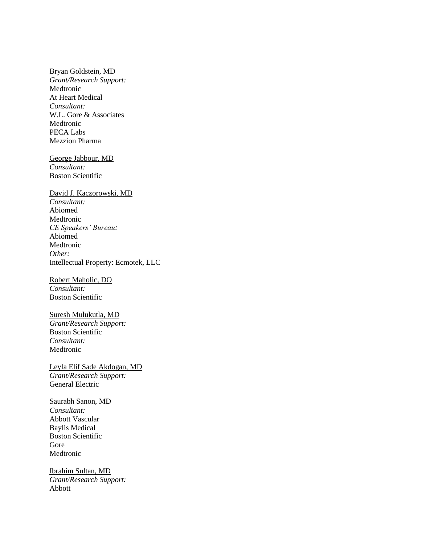#### Bryan Goldstein, MD

*Grant/Research Support:* Medtronic At Heart Medical *Consultant:* W.L. Gore & Associates Medtronic PECA Labs Mezzion Pharma

George Jabbour, MD *Consultant:* Boston Scientific

# David J. Kaczorowski, MD *Consultant:* Abiomed Medtronic *CE Speakers' Bureau:* Abiomed Medtronic *Other:* Intellectual Property: Ecmotek, LLC

Robert Maholic, DO *Consultant:* Boston Scientific

### Suresh Mulukutla, MD *Grant/Research Support:* Boston Scientific *Consultant:* Medtronic

Leyla Elif Sade Akdogan, MD *Grant/Research Support:* General Electric

Saurabh Sanon, MD *Consultant:* Abbott Vascular Baylis Medical Boston Scientific Gore Medtronic

Ibrahim Sultan, MD *Grant/Research Support:* Abbott